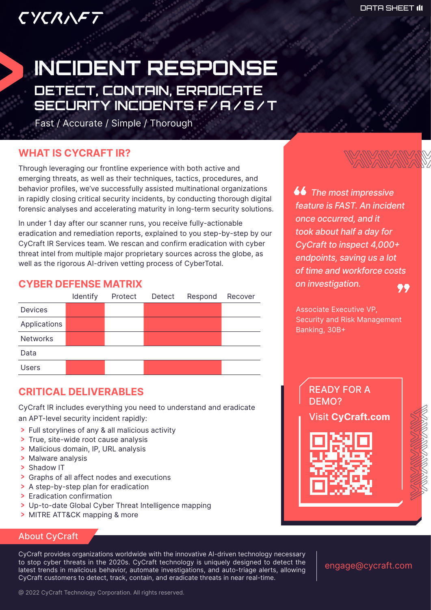# CYCRNFT

## INCIDENT RESPONSE DETECT, CONTAIN, ERADICATE SECURITY INCIDENTS F/A/S/T

Fast / Accurate / Simple / Thorough

## **WHAT IS CYCRAFT IR?**

Through leveraging our frontline experience with both active and emerging threats, as well as their techniques, tactics, procedures, and behavior profiles, we've successfully assisted multinational organizations in rapidly closing critical security incidents, by conducting thorough digital forensic analyses and accelerating maturity in long-term security solutions.

In under 1 day after our scanner runs, you receive fully-actionable eradication and remediation reports, explained to you step-by-step by our CyCraft IR Services team. We rescan and confirm eradication with cyber threat intel from multiple major proprietary sources across the globe, as well as the rigorous AI-driven vetting process of CyberTotal.

## **CYBER DEFENSE MATRIX**



## **CRITICAL DELIVERABLES**

CyCraft IR includes everything you need to understand and eradicate an APT-level security incident rapidly:

- > Full storylines of any & all malicious activity
- > True, site-wide root cause analysis
- > Malicious domain, IP, URL analysis
- > Malware analysis
- > Shadow IT
- > Graphs of all affect nodes and executions
- > A step-by-step plan for eradication
- > Eradication confirmation
- > Up-to-date Global Cyber Threat Intelligence mapping
- > MITRE ATT&CK mapping & more

#### About CyCraft

CyCraft provides organizations worldwide with the innovative AI-driven technology necessary to stop cyber threats in the 2020s. CyCraft technology is uniquely designed to detect the latest trends in malicious behavior, automate investigations, and auto-triage alerts, allowing CyCraft customers to detect, track, contain, and eradicate threats in near real-time.

engage@cycraft.com



 *The most impressive feature is FAST. An incident once occurred, and it took about half a day for CyCraft to inspect 4,000+ endpoints, saving us a lot of time and workforce costs on investigation.* 99

Associate Executive VP, Security and Risk Management Banking, 30B+

> READY FOR A DEMO?

Visit **CyCraft.com**